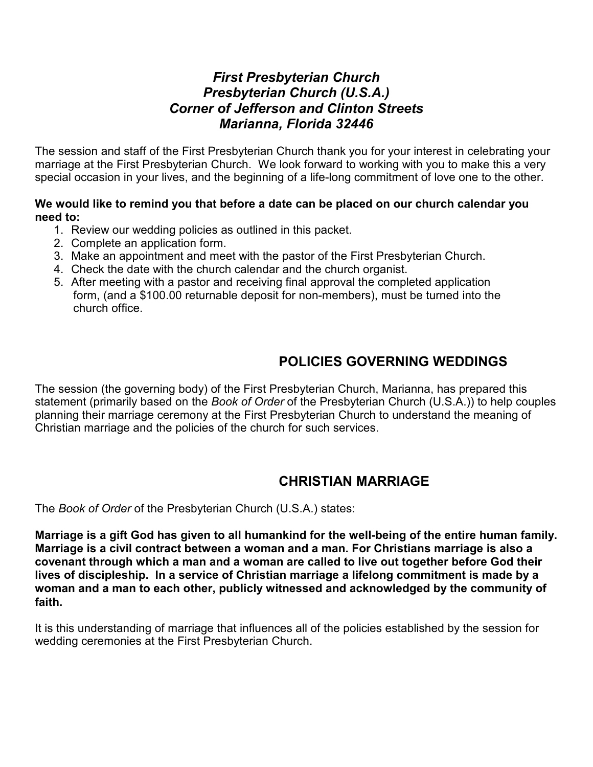## *First Presbyterian Church Presbyterian Church (U.S.A.) Corner of Jefferson and Clinton Streets Marianna, Florida 32446*

The session and staff of the First Presbyterian Church thank you for your interest in celebrating your marriage at the First Presbyterian Church. We look forward to working with you to make this a very special occasion in your lives, and the beginning of a life-long commitment of love one to the other.

#### **We would like to remind you that before a date can be placed on our church calendar you need to:**

- 1. Review our wedding policies as outlined in this packet.
- 2. Complete an application form.
- 3. Make an appointment and meet with the pastor of the First Presbyterian Church.
- 4. Check the date with the church calendar and the church organist.
- 5. After meeting with a pastor and receiving final approval the completed application form, (and a \$100.00 returnable deposit for non-members), must be turned into the church office.

# **POLICIES GOVERNING WEDDINGS**

The session (the governing body) of the First Presbyterian Church, Marianna, has prepared this statement (primarily based on the *Book of Order* of the Presbyterian Church (U.S.A.)) to help couples planning their marriage ceremony at the First Presbyterian Church to understand the meaning of Christian marriage and the policies of the church for such services.

## **CHRISTIAN MARRIAGE**

The *Book of Order* of the Presbyterian Church (U.S.A.) states:

**Marriage is a gift God has given to all humankind for the well-being of the entire human family. Marriage is a civil contract between a woman and a man. For Christians marriage is also a covenant through which a man and a woman are called to live out together before God their lives of discipleship. In a service of Christian marriage a lifelong commitment is made by a woman and a man to each other, publicly witnessed and acknowledged by the community of faith.**

It is this understanding of marriage that influences all of the policies established by the session for wedding ceremonies at the First Presbyterian Church.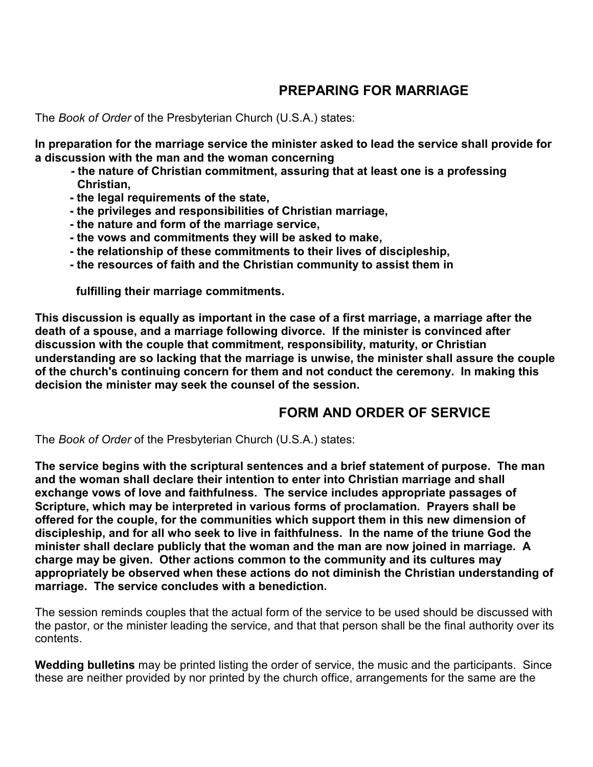## **PREPARING FOR MARRIAGE**

The *Book of Order* of the Presbyterian Church (U.S.A.) states:

**In preparation for the marriage service the minister asked to lead the service shall provide for a discussion with the man and the woman concerning** 

- **the nature of Christian commitment, assuring that at least one is a professing Christian,**
- **the legal requirements of the state,**
- **the privileges and responsibilities of Christian marriage,**
- **the nature and form of the marriage service,**
- **the vows and commitments they will be asked to make,**
- **the relationship of these commitments to their lives of discipleship,**
- **the resources of faith and the Christian community to assist them in**

 **fulfilling their marriage commitments.**

**This discussion is equally as important in the case of a first marriage, a marriage after the death of a spouse, and a marriage following divorce. If the minister is convinced after discussion with the couple that commitment, responsibility, maturity, or Christian understanding are so lacking that the marriage is unwise, the minister shall assure the couple of the church's continuing concern for them and not conduct the ceremony. In making this decision the minister may seek the counsel of the session.**

## **FORM AND ORDER OF SERVICE**

The *Book of Order* of the Presbyterian Church (U.S.A.) states:

**The service begins with the scriptural sentences and a brief statement of purpose. The man and the woman shall declare their intention to enter into Christian marriage and shall exchange vows of love and faithfulness. The service includes appropriate passages of Scripture, which may be interpreted in various forms of proclamation. Prayers shall be offered for the couple, for the communities which support them in this new dimension of discipleship, and for all who seek to live in faithfulness. In the name of the triune God the minister shall declare publicly that the woman and the man are now joined in marriage. A charge may be given. Other actions common to the community and its cultures may appropriately be observed when these actions do not diminish the Christian understanding of marriage. The service concludes with a benediction.**

The session reminds couples that the actual form of the service to be used should be discussed with the pastor, or the minister leading the service, and that that person shall be the final authority over its contents.

**Wedding bulletins** may be printed listing the order of service, the music and the participants. Since these are neither provided by nor printed by the church office, arrangements for the same are the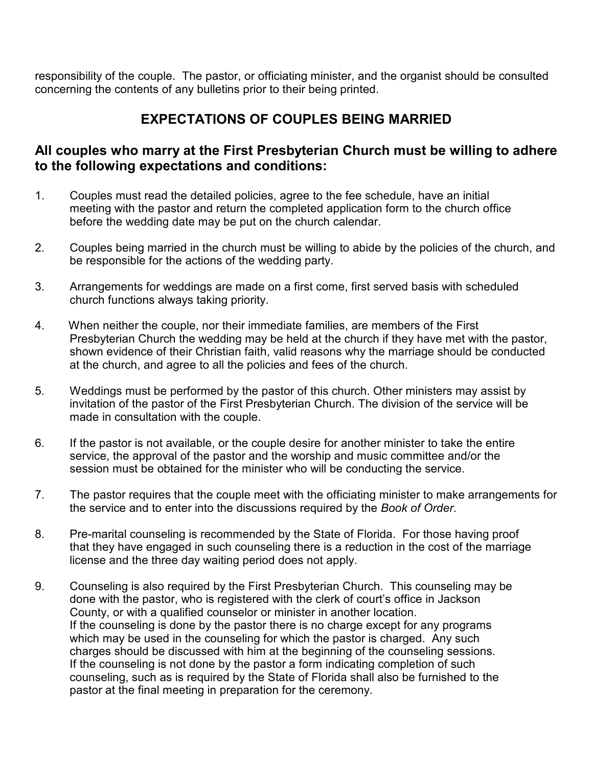responsibility of the couple. The pastor, or officiating minister, and the organist should be consulted concerning the contents of any bulletins prior to their being printed.

# **EXPECTATIONS OF COUPLES BEING MARRIED**

## **All couples who marry at the First Presbyterian Church must be willing to adhere to the following expectations and conditions:**

- 1. Couples must read the detailed policies, agree to the fee schedule, have an initial meeting with the pastor and return the completed application form to the church office before the wedding date may be put on the church calendar.
- 2. Couples being married in the church must be willing to abide by the policies of the church, and be responsible for the actions of the wedding party.
- 3. Arrangements for weddings are made on a first come, first served basis with scheduled church functions always taking priority.
- 4. When neither the couple, nor their immediate families, are members of the First Presbyterian Church the wedding may be held at the church if they have met with the pastor, shown evidence of their Christian faith, valid reasons why the marriage should be conducted at the church, and agree to all the policies and fees of the church.
- 5. Weddings must be performed by the pastor of this church. Other ministers may assist by invitation of the pastor of the First Presbyterian Church. The division of the service will be made in consultation with the couple.
- 6. If the pastor is not available, or the couple desire for another minister to take the entire service, the approval of the pastor and the worship and music committee and/or the session must be obtained for the minister who will be conducting the service.
- 7. The pastor requires that the couple meet with the officiating minister to make arrangements for the service and to enter into the discussions required by the *Book of Order*.
- 8. Pre-marital counseling is recommended by the State of Florida. For those having proof that they have engaged in such counseling there is a reduction in the cost of the marriage license and the three day waiting period does not apply.
- 9. Counseling is also required by the First Presbyterian Church. This counseling may be done with the pastor, who is registered with the clerk of court's office in Jackson County, or with a qualified counselor or minister in another location. If the counseling is done by the pastor there is no charge except for any programs which may be used in the counseling for which the pastor is charged. Any such charges should be discussed with him at the beginning of the counseling sessions. If the counseling is not done by the pastor a form indicating completion of such counseling, such as is required by the State of Florida shall also be furnished to the pastor at the final meeting in preparation for the ceremony.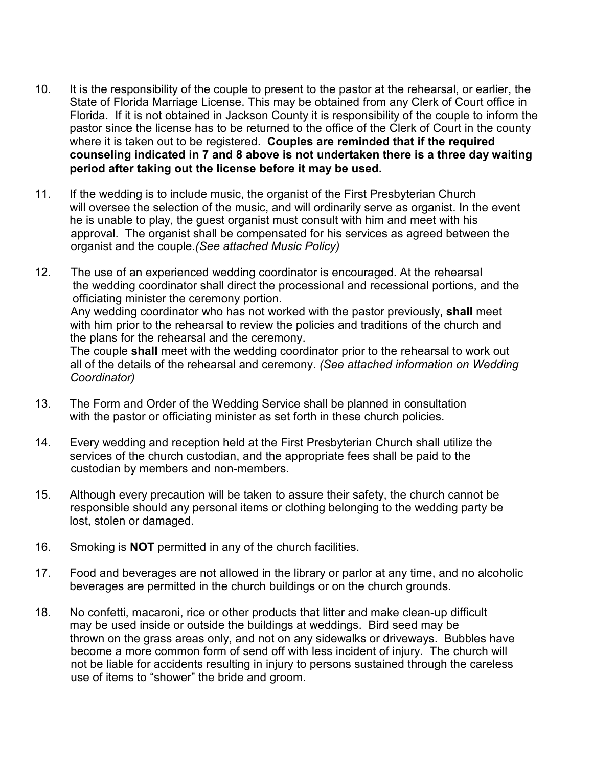- 10. It is the responsibility of the couple to present to the pastor at the rehearsal, or earlier, the State of Florida Marriage License. This may be obtained from any Clerk of Court office in Florida. If it is not obtained in Jackson County it is responsibility of the couple to inform the pastor since the license has to be returned to the office of the Clerk of Court in the county where it is taken out to be registered. **Couples are reminded that if the required counseling indicated in 7 and 8 above is not undertaken there is a three day waiting period after taking out the license before it may be used.**
- 11. If the wedding is to include music, the organist of the First Presbyterian Church will oversee the selection of the music, and will ordinarily serve as organist. In the event he is unable to play, the guest organist must consult with him and meet with his approval. The organist shall be compensated for his services as agreed between the organist and the couple.*(See attached Music Policy)*
- 12. The use of an experienced wedding coordinator is encouraged. At the rehearsal the wedding coordinator shall direct the processional and recessional portions, and the officiating minister the ceremony portion. Any wedding coordinator who has not worked with the pastor previously, **shall** meet with him prior to the rehearsal to review the policies and traditions of the church and the plans for the rehearsal and the ceremony. The couple **shall** meet with the wedding coordinator prior to the rehearsal to work out all of the details of the rehearsal and ceremony. *(See attached information on Wedding Coordinator)*
- 13. The Form and Order of the Wedding Service shall be planned in consultation with the pastor or officiating minister as set forth in these church policies.
- 14. Every wedding and reception held at the First Presbyterian Church shall utilize the services of the church custodian, and the appropriate fees shall be paid to the custodian by members and non-members.
- 15. Although every precaution will be taken to assure their safety, the church cannot be responsible should any personal items or clothing belonging to the wedding party be lost, stolen or damaged.
- 16. Smoking is **NOT** permitted in any of the church facilities.
- 17. Food and beverages are not allowed in the library or parlor at any time, and no alcoholic beverages are permitted in the church buildings or on the church grounds.
- 18. No confetti, macaroni, rice or other products that litter and make clean-up difficult may be used inside or outside the buildings at weddings. Bird seed may be thrown on the grass areas only, and not on any sidewalks or driveways. Bubbles have become a more common form of send off with less incident of injury. The church will not be liable for accidents resulting in injury to persons sustained through the careless use of items to "shower" the bride and groom.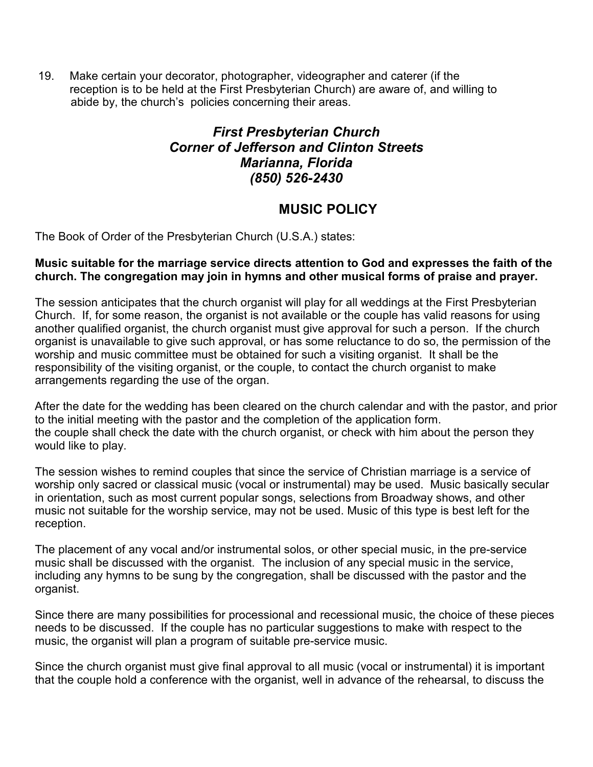19. Make certain your decorator, photographer, videographer and caterer (if the reception is to be held at the First Presbyterian Church) are aware of, and willing to abide by, the church's policies concerning their areas.

# *First Presbyterian Church Corner of Jefferson and Clinton Streets Marianna, Florida (850) 526-2430*

# **MUSIC POLICY**

The Book of Order of the Presbyterian Church (U.S.A.) states:

## **Music suitable for the marriage service directs attention to God and expresses the faith of the church. The congregation may join in hymns and other musical forms of praise and prayer.**

The session anticipates that the church organist will play for all weddings at the First Presbyterian Church. If, for some reason, the organist is not available or the couple has valid reasons for using another qualified organist, the church organist must give approval for such a person. If the church organist is unavailable to give such approval, or has some reluctance to do so, the permission of the worship and music committee must be obtained for such a visiting organist. It shall be the responsibility of the visiting organist, or the couple, to contact the church organist to make arrangements regarding the use of the organ.

After the date for the wedding has been cleared on the church calendar and with the pastor, and prior to the initial meeting with the pastor and the completion of the application form. the couple shall check the date with the church organist, or check with him about the person they would like to play.

The session wishes to remind couples that since the service of Christian marriage is a service of worship only sacred or classical music (vocal or instrumental) may be used. Music basically secular in orientation, such as most current popular songs, selections from Broadway shows, and other music not suitable for the worship service, may not be used. Music of this type is best left for the reception.

The placement of any vocal and/or instrumental solos, or other special music, in the pre-service music shall be discussed with the organist. The inclusion of any special music in the service, including any hymns to be sung by the congregation, shall be discussed with the pastor and the organist.

Since there are many possibilities for processional and recessional music, the choice of these pieces needs to be discussed. If the couple has no particular suggestions to make with respect to the music, the organist will plan a program of suitable pre-service music.

Since the church organist must give final approval to all music (vocal or instrumental) it is important that the couple hold a conference with the organist, well in advance of the rehearsal, to discuss the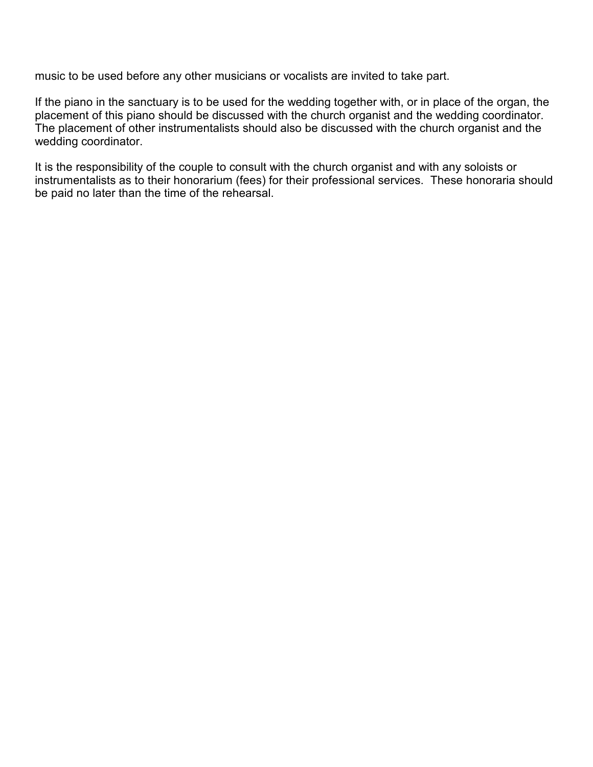music to be used before any other musicians or vocalists are invited to take part.

If the piano in the sanctuary is to be used for the wedding together with, or in place of the organ, the placement of this piano should be discussed with the church organist and the wedding coordinator. The placement of other instrumentalists should also be discussed with the church organist and the wedding coordinator.

It is the responsibility of the couple to consult with the church organist and with any soloists or instrumentalists as to their honorarium (fees) for their professional services. These honoraria should be paid no later than the time of the rehearsal.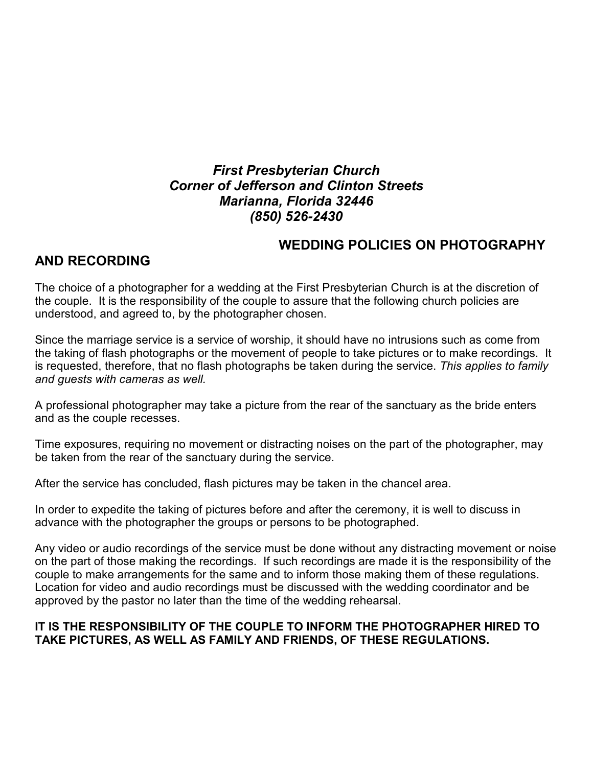## *First Presbyterian Church Corner of Jefferson and Clinton Streets Marianna, Florida 32446 (850) 526-2430*

## **WEDDING POLICIES ON PHOTOGRAPHY**

# **AND RECORDING**

The choice of a photographer for a wedding at the First Presbyterian Church is at the discretion of the couple. It is the responsibility of the couple to assure that the following church policies are understood, and agreed to, by the photographer chosen.

Since the marriage service is a service of worship, it should have no intrusions such as come from the taking of flash photographs or the movement of people to take pictures or to make recordings. It is requested, therefore, that no flash photographs be taken during the service. *This applies to family and guests with cameras as well.*

A professional photographer may take a picture from the rear of the sanctuary as the bride enters and as the couple recesses.

Time exposures, requiring no movement or distracting noises on the part of the photographer, may be taken from the rear of the sanctuary during the service.

After the service has concluded, flash pictures may be taken in the chancel area.

In order to expedite the taking of pictures before and after the ceremony, it is well to discuss in advance with the photographer the groups or persons to be photographed.

Any video or audio recordings of the service must be done without any distracting movement or noise on the part of those making the recordings. If such recordings are made it is the responsibility of the couple to make arrangements for the same and to inform those making them of these regulations. Location for video and audio recordings must be discussed with the wedding coordinator and be approved by the pastor no later than the time of the wedding rehearsal.

## **IT IS THE RESPONSIBILITY OF THE COUPLE TO INFORM THE PHOTOGRAPHER HIRED TO TAKE PICTURES, AS WELL AS FAMILY AND FRIENDS, OF THESE REGULATIONS.**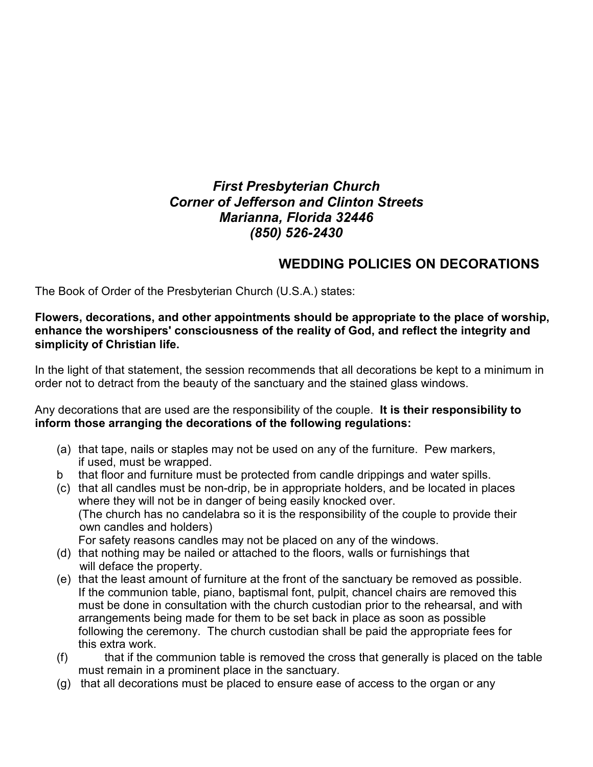## *First Presbyterian Church Corner of Jefferson and Clinton Streets Marianna, Florida 32446 (850) 526-2430*

# **WEDDING POLICIES ON DECORATIONS**

The Book of Order of the Presbyterian Church (U.S.A.) states:

## **Flowers, decorations, and other appointments should be appropriate to the place of worship, enhance the worshipers' consciousness of the reality of God, and reflect the integrity and simplicity of Christian life.**

In the light of that statement, the session recommends that all decorations be kept to a minimum in order not to detract from the beauty of the sanctuary and the stained glass windows.

Any decorations that are used are the responsibility of the couple. **It is their responsibility to inform those arranging the decorations of the following regulations:**

- (a) that tape, nails or staples may not be used on any of the furniture. Pew markers, if used, must be wrapped.
- b that floor and furniture must be protected from candle drippings and water spills.
- (c) that all candles must be non-drip, be in appropriate holders, and be located in places where they will not be in danger of being easily knocked over. (The church has no candelabra so it is the responsibility of the couple to provide their own candles and holders) For safety reasons candles may not be placed on any of the windows.
- (d) that nothing may be nailed or attached to the floors, walls or furnishings that will deface the property.
- (e) that the least amount of furniture at the front of the sanctuary be removed as possible. If the communion table, piano, baptismal font, pulpit, chancel chairs are removed this must be done in consultation with the church custodian prior to the rehearsal, and with arrangements being made for them to be set back in place as soon as possible following the ceremony. The church custodian shall be paid the appropriate fees for this extra work.
- (f) that if the communion table is removed the cross that generally is placed on the table must remain in a prominent place in the sanctuary.
- (g) that all decorations must be placed to ensure ease of access to the organ or any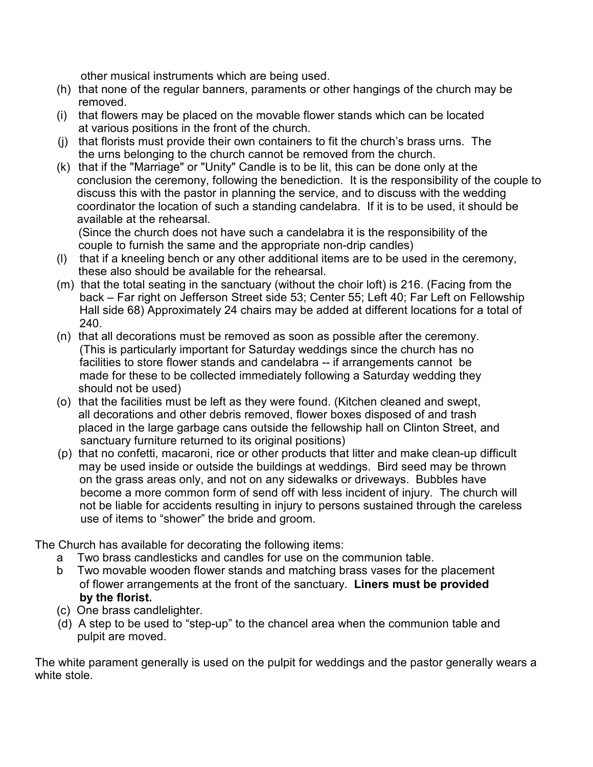other musical instruments which are being used.

- (h) that none of the regular banners, paraments or other hangings of the church may be removed.
- (i) that flowers may be placed on the movable flower stands which can be located at various positions in the front of the church.
- (j) that florists must provide their own containers to fit the church's brass urns. The the urns belonging to the church cannot be removed from the church.
- (k) that if the "Marriage" or "Unity" Candle is to be lit, this can be done only at the conclusion the ceremony, following the benediction. It is the responsibility of the couple to discuss this with the pastor in planning the service, and to discuss with the wedding coordinator the location of such a standing candelabra. If it is to be used, it should be available at the rehearsal.

 (Since the church does not have such a candelabra it is the responsibility of the couple to furnish the same and the appropriate non-drip candles)

- (l) that if a kneeling bench or any other additional items are to be used in the ceremony, these also should be available for the rehearsal.
- (m) that the total seating in the sanctuary (without the choir loft) is 216. (Facing from the back – Far right on Jefferson Street side 53; Center 55; Left 40; Far Left on Fellowship Hall side 68) Approximately 24 chairs may be added at different locations for a total of 240.
- (n) that all decorations must be removed as soon as possible after the ceremony. (This is particularly important for Saturday weddings since the church has no facilities to store flower stands and candelabra -- if arrangements cannot be made for these to be collected immediately following a Saturday wedding they should not be used)
- (o) that the facilities must be left as they were found. (Kitchen cleaned and swept, all decorations and other debris removed, flower boxes disposed of and trash placed in the large garbage cans outside the fellowship hall on Clinton Street, and sanctuary furniture returned to its original positions)
- (p) that no confetti, macaroni, rice or other products that litter and make clean-up difficult may be used inside or outside the buildings at weddings. Bird seed may be thrown on the grass areas only, and not on any sidewalks or driveways. Bubbles have become a more common form of send off with less incident of injury. The church will not be liable for accidents resulting in injury to persons sustained through the careless use of items to "shower" the bride and groom.

The Church has available for decorating the following items:

- a Two brass candlesticks and candles for use on the communion table.
- b Two movable wooden flower stands and matching brass vases for the placement of flower arrangements at the front of the sanctuary. **Liners must be provided by the florist.**
- (c) One brass candlelighter.
- (d) A step to be used to "step-up" to the chancel area when the communion table and pulpit are moved.

The white parament generally is used on the pulpit for weddings and the pastor generally wears a white stole.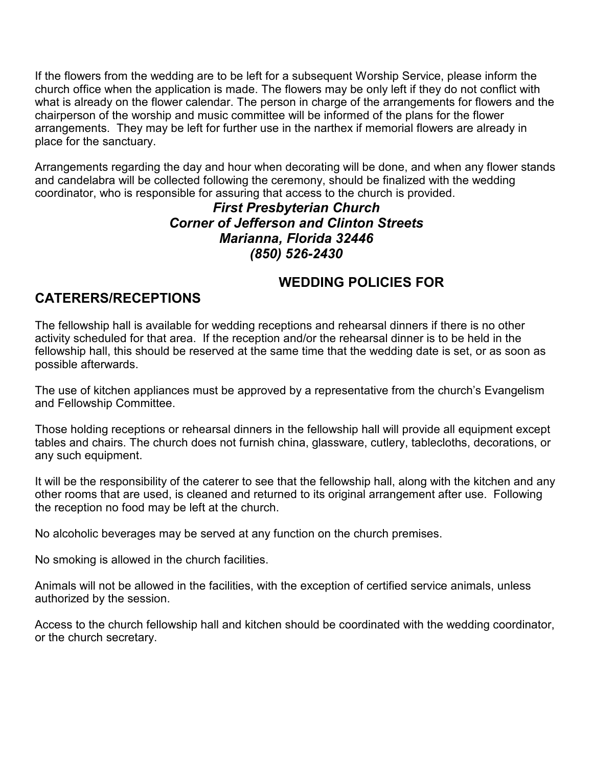If the flowers from the wedding are to be left for a subsequent Worship Service, please inform the church office when the application is made. The flowers may be only left if they do not conflict with what is already on the flower calendar. The person in charge of the arrangements for flowers and the chairperson of the worship and music committee will be informed of the plans for the flower arrangements. They may be left for further use in the narthex if memorial flowers are already in place for the sanctuary.

Arrangements regarding the day and hour when decorating will be done, and when any flower stands and candelabra will be collected following the ceremony, should be finalized with the wedding coordinator, who is responsible for assuring that access to the church is provided.

## *First Presbyterian Church Corner of Jefferson and Clinton Streets Marianna, Florida 32446 (850) 526-2430*

## **WEDDING POLICIES FOR**

# **CATERERS/RECEPTIONS**

The fellowship hall is available for wedding receptions and rehearsal dinners if there is no other activity scheduled for that area. If the reception and/or the rehearsal dinner is to be held in the fellowship hall, this should be reserved at the same time that the wedding date is set, or as soon as possible afterwards.

The use of kitchen appliances must be approved by a representative from the church's Evangelism and Fellowship Committee.

Those holding receptions or rehearsal dinners in the fellowship hall will provide all equipment except tables and chairs. The church does not furnish china, glassware, cutlery, tablecloths, decorations, or any such equipment.

It will be the responsibility of the caterer to see that the fellowship hall, along with the kitchen and any other rooms that are used, is cleaned and returned to its original arrangement after use. Following the reception no food may be left at the church.

No alcoholic beverages may be served at any function on the church premises.

No smoking is allowed in the church facilities.

Animals will not be allowed in the facilities, with the exception of certified service animals, unless authorized by the session.

Access to the church fellowship hall and kitchen should be coordinated with the wedding coordinator, or the church secretary.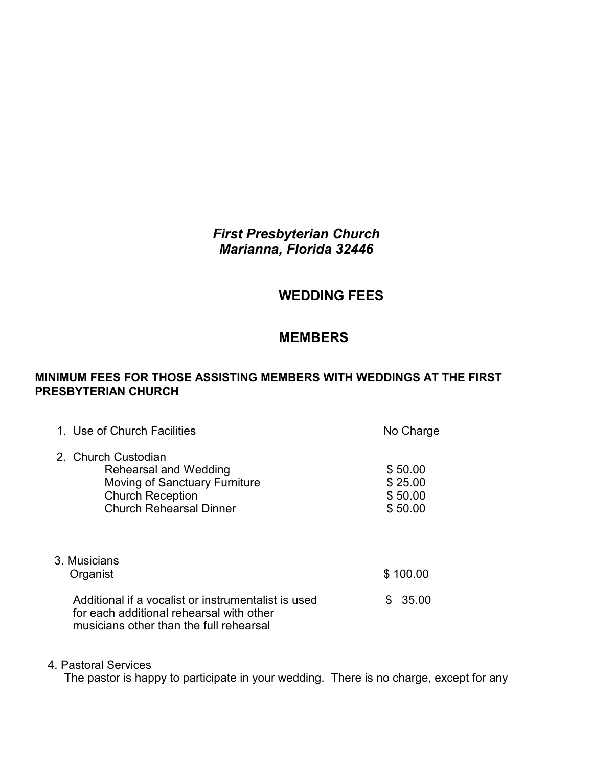# *First Presbyterian Church Marianna, Florida 32446*

## **WEDDING FEES**

## **MEMBERS**

## **MINIMUM FEES FOR THOSE ASSISTING MEMBERS WITH WEDDINGS AT THE FIRST PRESBYTERIAN CHURCH**

| 1. Use of Church Facilities                                                                                                                | No Charge                                |
|--------------------------------------------------------------------------------------------------------------------------------------------|------------------------------------------|
| 2. Church Custodian<br>Rehearsal and Wedding<br>Moving of Sanctuary Furniture<br><b>Church Reception</b><br><b>Church Rehearsal Dinner</b> | \$50.00<br>\$25.00<br>\$50.00<br>\$50.00 |
| 3. Musicians<br>Organist                                                                                                                   | \$100.00                                 |
| Additional if a vocalist or instrumentalist is used<br>for each additional rehearsal with other<br>musicians other than the full rehearsal | S.<br>35.00                              |

## 4. Pastoral Services

The pastor is happy to participate in your wedding. There is no charge, except for any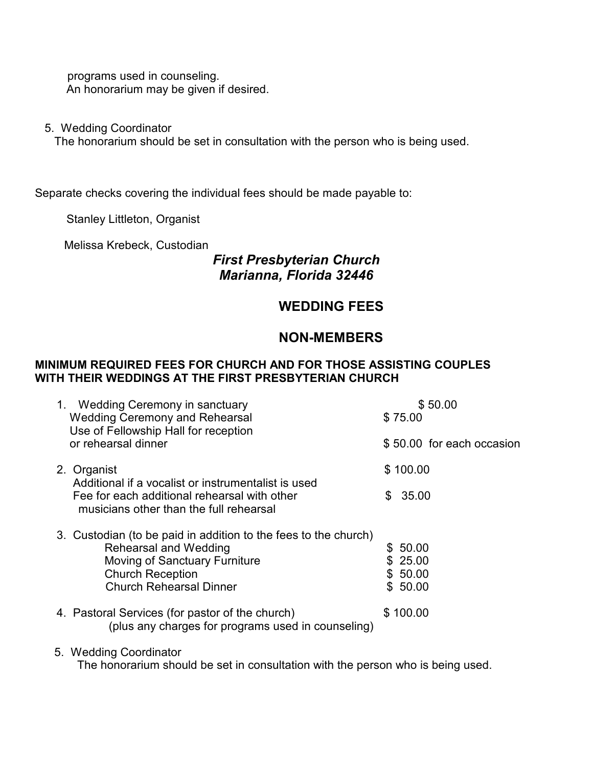programs used in counseling. An honorarium may be given if desired.

5. Wedding Coordinator

The honorarium should be set in consultation with the person who is being used.

Separate checks covering the individual fees should be made payable to:

Stanley Littleton, Organist

Melissa Krebeck, Custodian

## *First Presbyterian Church Marianna, Florida 32446*

## **WEDDING FEES**

## **NON-MEMBERS**

## **MINIMUM REQUIRED FEES FOR CHURCH AND FOR THOSE ASSISTING COUPLES WITH THEIR WEDDINGS AT THE FIRST PRESBYTERIAN CHURCH**

|  | 1. Wedding Ceremony in sanctuary<br><b>Wedding Ceremony and Rehearsal</b><br>Use of Fellowship Hall for reception<br>or rehearsal dinner | \$50.00<br>\$75.00 |                           |  |
|--|------------------------------------------------------------------------------------------------------------------------------------------|--------------------|---------------------------|--|
|  |                                                                                                                                          |                    | \$50.00 for each occasion |  |
|  | 2. Organist<br>Additional if a vocalist or instrumentalist is used                                                                       |                    | \$100.00                  |  |
|  | Fee for each additional rehearsal with other<br>musicians other than the full rehearsal                                                  | \$.                | 35.00                     |  |
|  | 3. Custodian (to be paid in addition to the fees to the church)                                                                          |                    |                           |  |
|  | Rehearsal and Wedding                                                                                                                    |                    | \$50.00                   |  |
|  | Moving of Sanctuary Furniture                                                                                                            |                    | \$25.00                   |  |
|  | <b>Church Reception</b>                                                                                                                  |                    | \$50.00                   |  |
|  | <b>Church Rehearsal Dinner</b>                                                                                                           |                    | \$50.00                   |  |
|  | 4. Pastoral Services (for pastor of the church)<br>(plus any charges for programs used in counseling)                                    |                    | \$100.00                  |  |

5. Wedding Coordinator

The honorarium should be set in consultation with the person who is being used.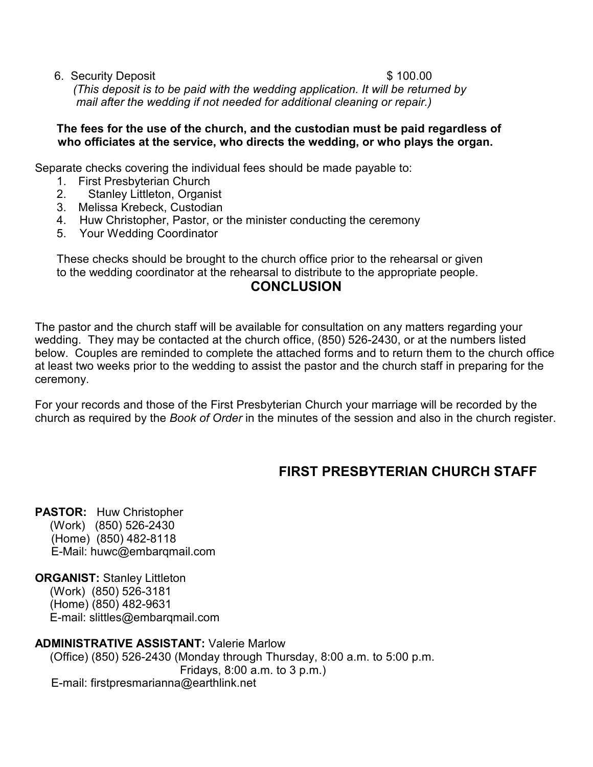6. Security Deposit **\$ 100.00** 

 *(This deposit is to be paid with the wedding application. It will be returned by mail after the wedding if not needed for additional cleaning or repair.)*

#### **The fees for the use of the church, and the custodian must be paid regardless of who officiates at the service, who directs the wedding, or who plays the organ.**

Separate checks covering the individual fees should be made payable to:

- 1. First Presbyterian Church
- 2. Stanley Littleton, Organist
- 3. Melissa Krebeck, Custodian
- 4. Huw Christopher, Pastor, or the minister conducting the ceremony
- 5. Your Wedding Coordinator

These checks should be brought to the church office prior to the rehearsal or given to the wedding coordinator at the rehearsal to distribute to the appropriate people.

## **CONCLUSION**

The pastor and the church staff will be available for consultation on any matters regarding your wedding. They may be contacted at the church office, (850) 526-2430, or at the numbers listed below. Couples are reminded to complete the attached forms and to return them to the church office at least two weeks prior to the wedding to assist the pastor and the church staff in preparing for the ceremony.

For your records and those of the First Presbyterian Church your marriage will be recorded by the church as required by the *Book of Order* in the minutes of the session and also in the church register.

## **FIRST PRESBYTERIAN CHURCH STAFF**

**PASTOR:** Huw Christopher (Work) (850) 526-2430 (Home) (850) 482-8118 E-Mail: huwc@embarqmail.com

**ORGANIST:** Stanley Littleton (Work) (850) 526-3181 (Home) (850) 482-9631 E-mail: slittles@embarqmail.com

## **ADMINISTRATIVE ASSISTANT:** Valerie Marlow

 (Office) (850) 526-2430 (Monday through Thursday, 8:00 a.m. to 5:00 p.m. Fridays, 8:00 a.m. to 3 p.m.) E-mail: firstpresmarianna@earthlink.net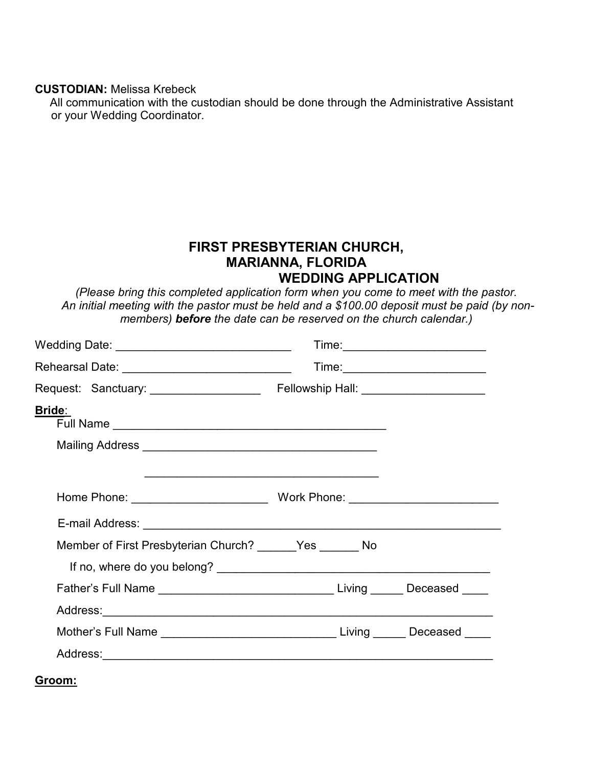#### **CUSTODIAN:** Melissa Krebeck

All communication with the custodian should be done through the Administrative Assistant or your Wedding Coordinator.

## **FIRST PRESBYTERIAN CHURCH, MARIANNA, FLORIDA WEDDING APPLICATION**

*(Please bring this completed application form when you come to meet with the pastor. An initial meeting with the pastor must be held and a \$100.00 deposit must be paid (by nonmembers) before the date can be reserved on the church calendar.)*

|                                                                                                                                                                                                                               | Time: __________________________          |
|-------------------------------------------------------------------------------------------------------------------------------------------------------------------------------------------------------------------------------|-------------------------------------------|
|                                                                                                                                                                                                                               | $Time: \underline{\qquad \qquad \qquad }$ |
|                                                                                                                                                                                                                               |                                           |
| Bride:                                                                                                                                                                                                                        |                                           |
|                                                                                                                                                                                                                               |                                           |
|                                                                                                                                                                                                                               |                                           |
| E-mail Address: University of the Contract of the Contract of the Contract of the Contract of the Contract of the Contract of the Contract of the Contract of the Contract of the Contract of the Contract of the Contract of |                                           |
| Member of First Presbyterian Church? _______Yes ________ No                                                                                                                                                                   |                                           |
|                                                                                                                                                                                                                               |                                           |
|                                                                                                                                                                                                                               |                                           |
|                                                                                                                                                                                                                               |                                           |
|                                                                                                                                                                                                                               |                                           |
|                                                                                                                                                                                                                               |                                           |
|                                                                                                                                                                                                                               |                                           |

## **Groom:**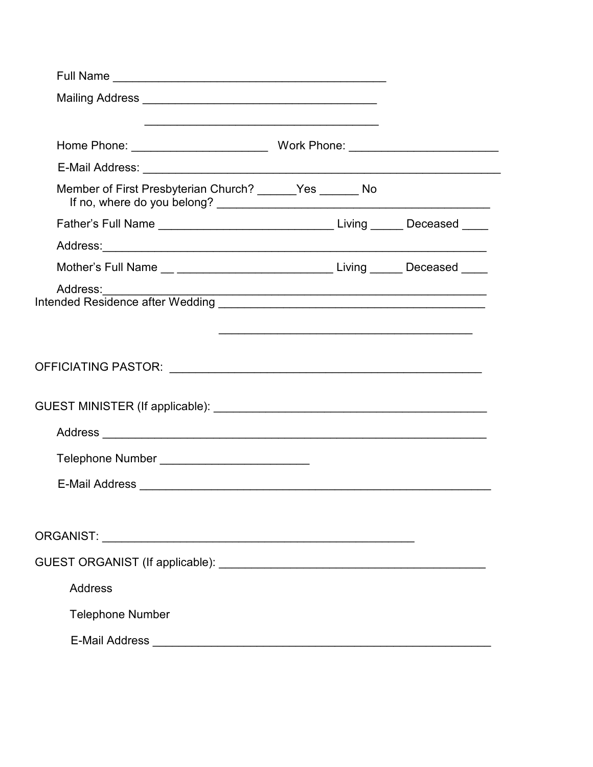| Member of First Presbyterian Church? ______Yes ______ No |  |  |                                                                                                                               |
|----------------------------------------------------------|--|--|-------------------------------------------------------------------------------------------------------------------------------|
|                                                          |  |  |                                                                                                                               |
|                                                          |  |  |                                                                                                                               |
|                                                          |  |  |                                                                                                                               |
|                                                          |  |  | <u> 1989 - Johann John Stone, mars et al. 1989 - John Stone, mars et al. 1989 - John Stone, mars et al. 1989 - John Stone</u> |
|                                                          |  |  |                                                                                                                               |
|                                                          |  |  |                                                                                                                               |
|                                                          |  |  |                                                                                                                               |
| Telephone Number _____________________________           |  |  |                                                                                                                               |
|                                                          |  |  |                                                                                                                               |
|                                                          |  |  |                                                                                                                               |
|                                                          |  |  |                                                                                                                               |
| <b>Address</b>                                           |  |  |                                                                                                                               |
| <b>Telephone Number</b>                                  |  |  |                                                                                                                               |
|                                                          |  |  |                                                                                                                               |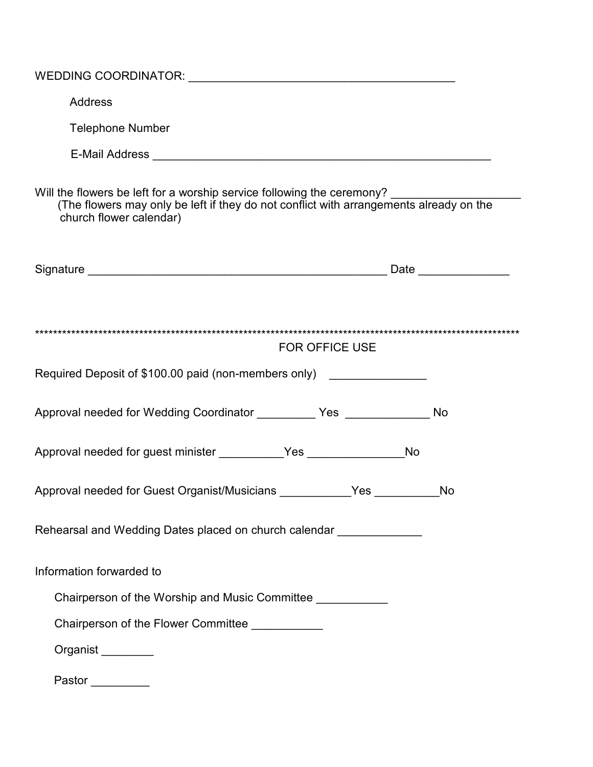| WEDDING COORDINATOR: VERTICAL COORDINATOR:                                                                                                                                                  |                       |  |  |
|---------------------------------------------------------------------------------------------------------------------------------------------------------------------------------------------|-----------------------|--|--|
| <b>Address</b>                                                                                                                                                                              |                       |  |  |
| <b>Telephone Number</b>                                                                                                                                                                     |                       |  |  |
|                                                                                                                                                                                             |                       |  |  |
| Will the flowers be left for a worship service following the ceremony?<br>(The flowers may only be left if they do not conflict with arrangements already on the<br>church flower calendar) |                       |  |  |
|                                                                                                                                                                                             |                       |  |  |
|                                                                                                                                                                                             |                       |  |  |
|                                                                                                                                                                                             | <b>FOR OFFICE USE</b> |  |  |
| Required Deposit of \$100.00 paid (non-members only)                                                                                                                                        |                       |  |  |
| Approval needed for Wedding Coordinator ___________ Yes ______________ No                                                                                                                   |                       |  |  |
| Approval needed for guest minister ___________Yes __________________No                                                                                                                      |                       |  |  |
|                                                                                                                                                                                             |                       |  |  |
| Rehearsal and Wedding Dates placed on church calendar                                                                                                                                       |                       |  |  |
| Information forwarded to                                                                                                                                                                    |                       |  |  |
| Chairperson of the Worship and Music Committee ____________                                                                                                                                 |                       |  |  |
| Chairperson of the Flower Committee ____________                                                                                                                                            |                       |  |  |
| Organist <sub>__________</sub>                                                                                                                                                              |                       |  |  |
|                                                                                                                                                                                             |                       |  |  |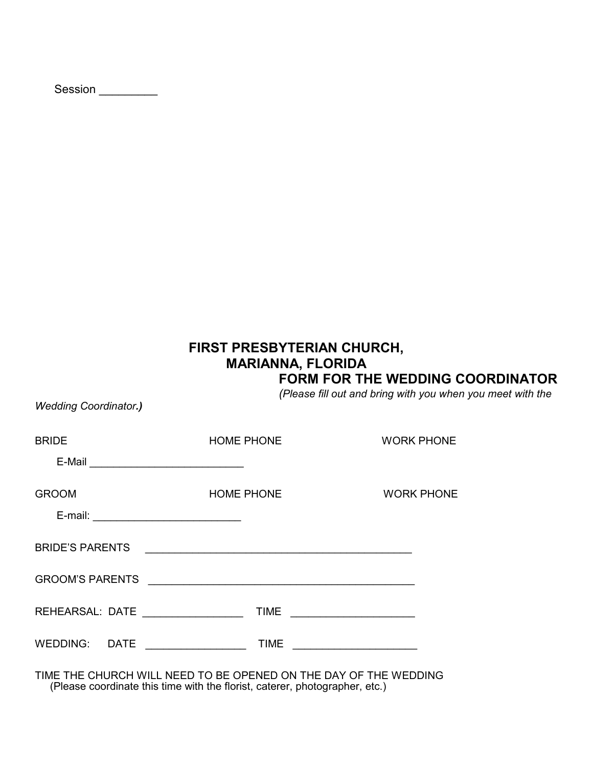Session \_\_\_\_\_\_\_\_\_

## **FIRST PRESBYTERIAN CHURCH, MARIANNA, FLORIDA FORM FOR THE WEDDING COORDINATOR**

*(Please fill out and bring with you when you meet with the* 

| <b>Wedding Coordinator.)</b>     |                                                             | $1.1.00000$ and $2.0000$ and $2.0000$ and $2.0000$ and $2.0000$ and $2.0000$ and $2.0000$ and $2.0000$ and $2.0000$ and $2.0000$ and $2.0000$ and $2.0000$ and $2.0000$ and $2.0000$ and $2.0000$ and $2.0000$ and $2.0000$ a |
|----------------------------------|-------------------------------------------------------------|-------------------------------------------------------------------------------------------------------------------------------------------------------------------------------------------------------------------------------|
| <b>BRIDE</b>                     | <b>HOME PHONE</b>                                           | <b>WORK PHONE</b>                                                                                                                                                                                                             |
| <b>GROOM</b>                     | <b>HOME PHONE</b>                                           | <b>WORK PHONE</b>                                                                                                                                                                                                             |
| <b>BRIDE'S PARENTS</b>           | <u> 1989 - Johann Stoff, amerikansk politiker (d. 1989)</u> |                                                                                                                                                                                                                               |
|                                  |                                                             |                                                                                                                                                                                                                               |
| REHEARSAL: DATE ________________ | TIME ____________________________                           |                                                                                                                                                                                                                               |
| DATE <b>DATE</b><br>WEDDING:     | <b>TIME</b><br><u> 1989 - Johann Barbara, martin a</u>      |                                                                                                                                                                                                                               |
|                                  |                                                             |                                                                                                                                                                                                                               |

TIME THE CHURCH WILL NEED TO BE OPENED ON THE DAY OF THE WEDDING (Please coordinate this time with the florist, caterer, photographer, etc.)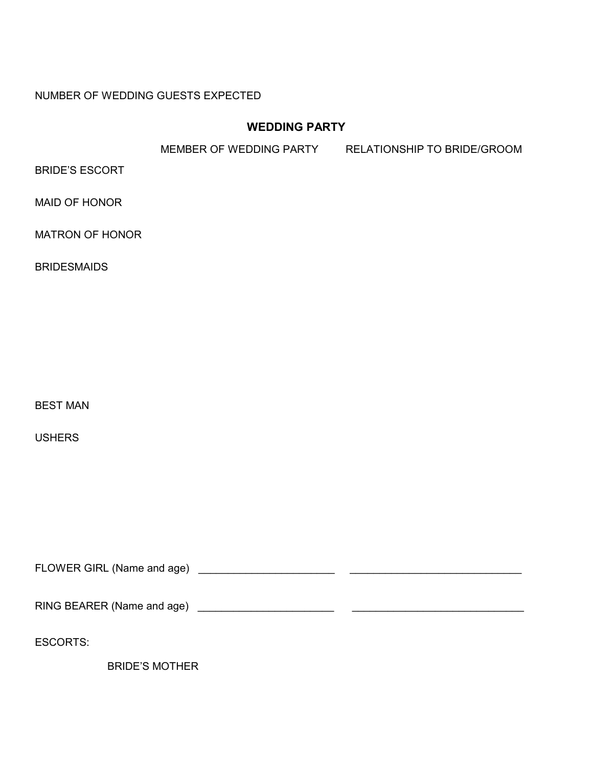NUMBER OF WEDDING GUESTS EXPECTED

## **WEDDING PARTY**

MEMBER OF WEDDING PARTY RELATIONSHIP TO BRIDE/GROOM

BRIDE'S ESCORT

MAID OF HONOR

MATRON OF HONOR

**BRIDESMAIDS** 

BEST MAN

USHERS

FLOWER GIRL (Name and age) \_\_\_\_\_\_\_\_\_\_\_\_\_\_\_\_\_\_\_\_\_\_\_ \_\_\_\_\_\_\_\_\_\_\_\_\_\_\_\_\_\_\_\_\_\_\_\_\_\_\_\_\_ RING BEARER (Name and age) \_\_\_\_\_\_\_\_\_\_\_\_\_\_\_\_\_\_\_\_\_\_\_ \_\_\_\_\_\_\_\_\_\_\_\_\_\_\_\_\_\_\_\_\_\_\_\_\_\_\_\_\_

ESCORTS:

BRIDE'S MOTHER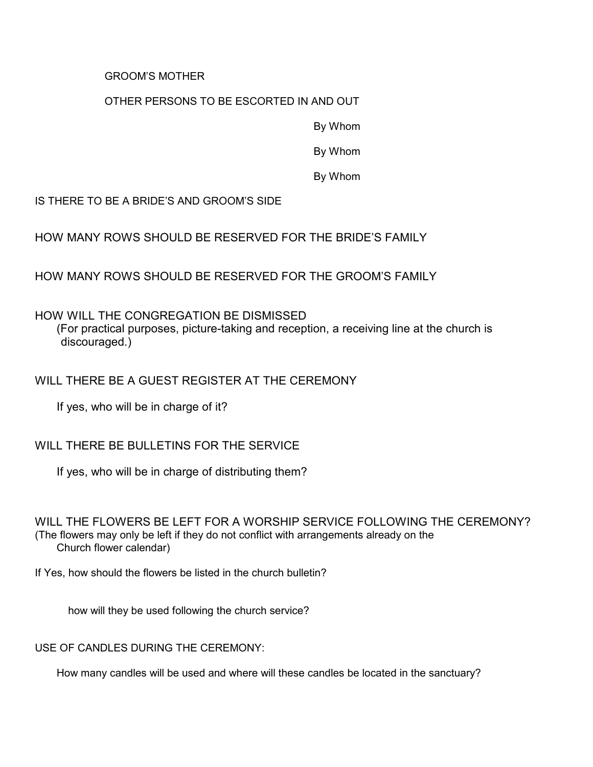#### GROOM'S MOTHER

#### OTHER PERSONS TO BE ESCORTED IN AND OUT

By Whom

By Whom

By Whom

IS THERE TO BE A BRIDE'S AND GROOM'S SIDE

HOW MANY ROWS SHOULD BE RESERVED FOR THE BRIDE'S FAMILY

HOW MANY ROWS SHOULD BE RESERVED FOR THE GROOM'S FAMILY

#### HOW WILL THE CONGREGATION BE DISMISSED

(For practical purposes, picture-taking and reception, a receiving line at the church is discouraged.)

WILL THERE BE A GUEST REGISTER AT THE CEREMONY

If yes, who will be in charge of it?

WILL THERE BE BULLETINS FOR THE SERVICE

If yes, who will be in charge of distributing them?

WILL THE FLOWERS BE LEFT FOR A WORSHIP SERVICE FOLLOWING THE CEREMONY? (The flowers may only be left if they do not conflict with arrangements already on the Church flower calendar)

If Yes, how should the flowers be listed in the church bulletin?

how will they be used following the church service?

USE OF CANDLES DURING THE CEREMONY.

How many candles will be used and where will these candles be located in the sanctuary?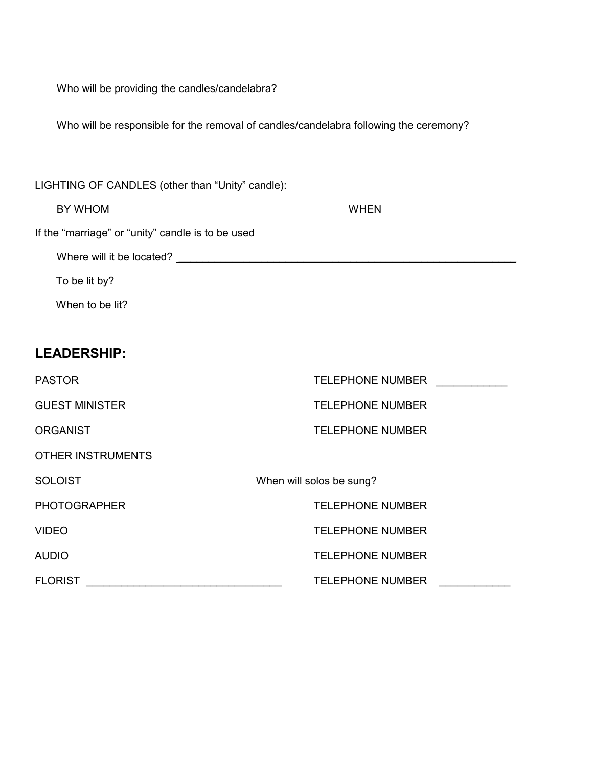Who will be providing the candles/candelabra?

Who will be responsible for the removal of candles/candelabra following the ceremony?

| LIGHTING OF CANDLES (other than "Unity" candle):       |                          |
|--------------------------------------------------------|--------------------------|
| <b>BY WHOM</b>                                         | <b>WHEN</b>              |
| If the "marriage" or "unity" candle is to be used      |                          |
| Where will it be located?<br>Where will it be located? |                          |
| To be lit by?                                          |                          |
| When to be lit?                                        |                          |
|                                                        |                          |
| <b>LEADERSHIP:</b>                                     |                          |
| <b>PASTOR</b>                                          | <b>TELEPHONE NUMBER</b>  |
| <b>GUEST MINISTER</b>                                  | <b>TELEPHONE NUMBER</b>  |
| <b>ORGANIST</b>                                        | <b>TELEPHONE NUMBER</b>  |
| <b>OTHER INSTRUMENTS</b>                               |                          |
| <b>SOLOIST</b>                                         | When will solos be sung? |
| <b>PHOTOGRAPHER</b>                                    | <b>TELEPHONE NUMBER</b>  |
| <b>VIDEO</b>                                           | <b>TELEPHONE NUMBER</b>  |
| <b>AUDIO</b>                                           | <b>TELEPHONE NUMBER</b>  |
| <b>FLORIST</b>                                         | <b>TELEPHONE NUMBER</b>  |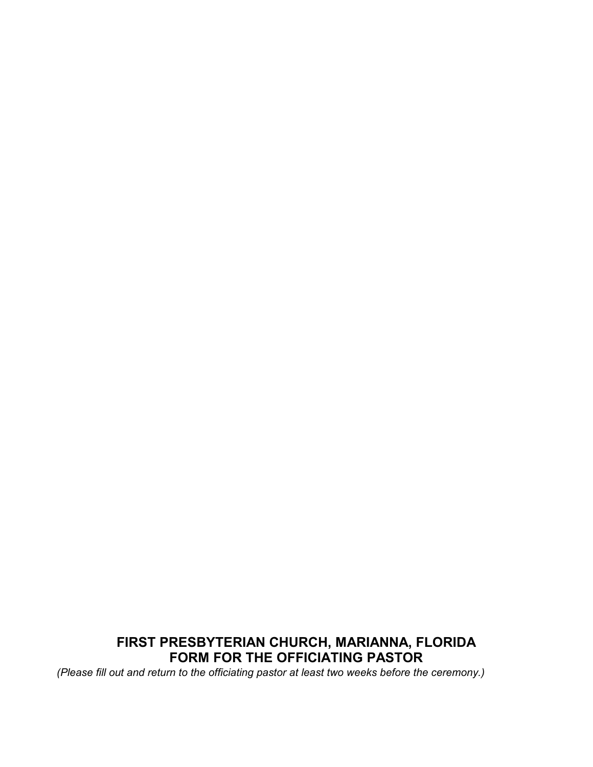# **FIRST PRESBYTERIAN CHURCH, MARIANNA, FLORIDA FORM FOR THE OFFICIATING PASTOR**

*(Please fill out and return to the officiating pastor at least two weeks before the ceremony.)*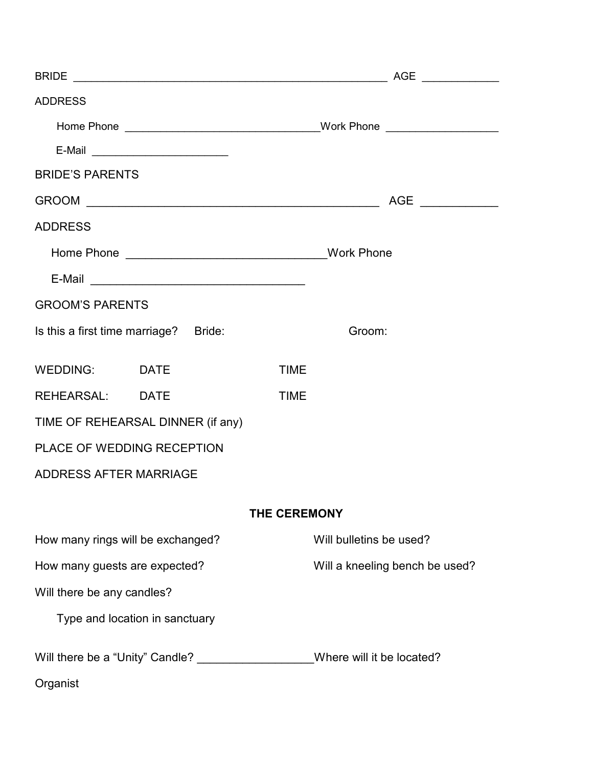| <b>ADDRESS</b>                                                                 |  |                     |                         |                                |
|--------------------------------------------------------------------------------|--|---------------------|-------------------------|--------------------------------|
|                                                                                |  |                     |                         |                                |
|                                                                                |  |                     |                         |                                |
| <b>BRIDE'S PARENTS</b>                                                         |  |                     |                         |                                |
|                                                                                |  |                     |                         |                                |
| <b>ADDRESS</b>                                                                 |  |                     |                         |                                |
|                                                                                |  |                     |                         |                                |
|                                                                                |  |                     |                         |                                |
| <b>GROOM'S PARENTS</b>                                                         |  |                     |                         |                                |
| Is this a first time marriage? Bride:                                          |  |                     | Groom:                  |                                |
| WEDDING: DATE                                                                  |  | <b>TIME</b>         |                         |                                |
| REHEARSAL: DATE                                                                |  | <b>TIME</b>         |                         |                                |
| TIME OF REHEARSAL DINNER (if any)                                              |  |                     |                         |                                |
| PLACE OF WEDDING RECEPTION                                                     |  |                     |                         |                                |
| ADDRESS AFTER MARRIAGE                                                         |  |                     |                         |                                |
|                                                                                |  | <b>THE CEREMONY</b> |                         |                                |
| How many rings will be exchanged?                                              |  |                     | Will bulletins be used? |                                |
| How many guests are expected?                                                  |  |                     |                         | Will a kneeling bench be used? |
| Will there be any candles?                                                     |  |                     |                         |                                |
| Type and location in sanctuary                                                 |  |                     |                         |                                |
| Will there be a "Unity" Candle? _____________________Where will it be located? |  |                     |                         |                                |
| Organist                                                                       |  |                     |                         |                                |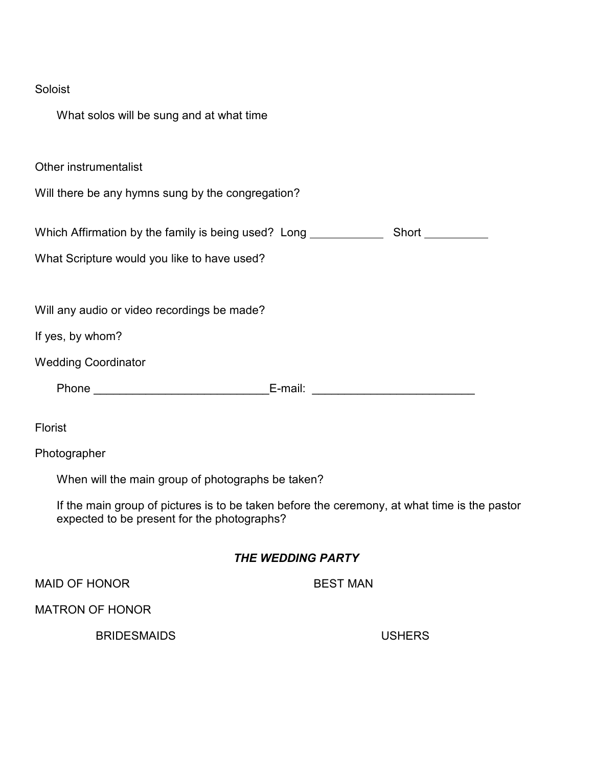#### Soloist

What solos will be sung and at what time

Other instrumentalist

Will there be any hymns sung by the congregation?

Which Affirmation by the family is being used? Long \_\_\_\_\_\_\_\_\_\_\_\_\_\_\_\_\_\_\_\_\_\_\_\_\_\_\_\_

What Scripture would you like to have used?

Will any audio or video recordings be made?

If yes, by whom?

Wedding Coordinator

Phone \_\_\_\_\_\_\_\_\_\_\_\_\_\_\_\_\_\_\_\_\_\_\_\_\_\_\_E-mail: \_\_\_\_\_\_\_\_\_\_\_\_\_\_\_\_\_\_\_\_\_\_\_\_\_

Florist

Photographer

When will the main group of photographs be taken?

If the main group of pictures is to be taken before the ceremony, at what time is the pastor expected to be present for the photographs?

## *THE WEDDING PARTY*

| <b>MAID OF HONOR</b>   | <b>BEST MAN</b> |
|------------------------|-----------------|
| <b>MATRON OF HONOR</b> |                 |
| <b>BRIDESMAIDS</b>     | <b>USHERS</b>   |
|                        |                 |